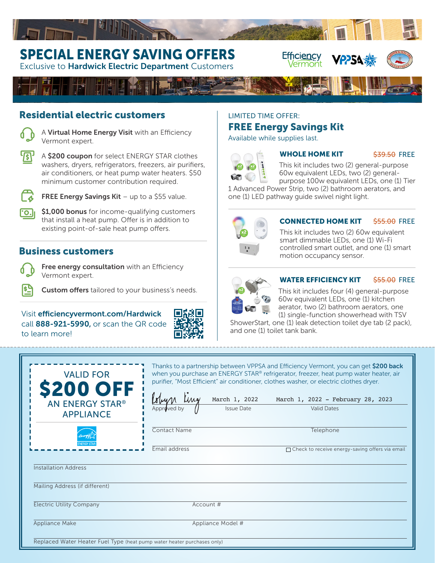# SPECIAL ENERGY SAVING OFFERS

**Exclusive to Hardwick Electric Department Customers** 

# Residential electric customers

A Virtual Home Energy Visit with an Efficiency Vermont expert.

A \$200 coupon for select ENERGY STAR clothes washers, dryers, refrigerators, freezers, air purifiers, air conditioners, or heat pump water heaters. \$50 minimum customer contribution required.



 $\overline{\cdot}$ o.

**FREE Energy Savings Kit**  $-$  up to a \$55 value.

\$1,000 bonus for income-qualifying customers that install a heat pump. Offer is in addition to existing point-of-sale heat pump offers.

# Business customers

| ×<br>M.<br>- | . .<br>. .<br>× |
|--------------|-----------------|
|              | ۰,<br>. .       |

Free energy consultation with an Efficiency Vermont expert.

Custom offers tailored to your business's needs.

Visit efficiencyvermont.com/Hardwick call 888-921-5990, or scan the QR code to learn more!



# LIMITED TIME OFFER: FREE Energy Savings Kit

Available while supplies last.



## WHOLE HOME KIT

Efficiency<br>Vermont

<del>\$39.50</del> FREE

This kit includes two (2) general-purpose 60w equivalent LEDs, two (2) generalpurpose 100w equivalent LEDs, one (1) Tier

**VPPSA** 

1 Advanced Power Strip, two (2) bathroom aerators, and one (1) LED pathway guide swivel night light.



#### CONNECTED HOME KIT \$<del>55.00</del> FREE

This kit includes two (2) 60w equivalent smart dimmable LEDs, one (1) Wi-Fi controlled smart outlet, and one (1) smart motion occupancy sensor.



### WATER EFFICIENCY KIT \$<del>55.00</del> FREE

This kit includes four (4) general-purpose 60w equivalent LEDs, one (1) kitchen aerator, two (2) bathroom aerators, one (1) single-function showerhead with TSV

ShowerStart, one (1) leak detection toilet dye tab (2 pack), and one (1) toilet tank bank.

| <b>VALID FOR</b><br><b>\$200 OFF</b><br>AN ENERGY STAR®<br><b>APPLIANCE</b> | purifier, "Most Efficient" air conditioner, clothes washer, or electric clothes dryer.<br>Colyn Ling<br><b>Issue Date</b> | Thanks to a partnership between VPPSA and Efficiency Vermont, you can get \$200 back<br>when you purchase an ENERGY STAR® refrigerator, freezer, heat pump water heater, air<br>March 1, 2022 March 1, 2022 - February 28, 2023<br><b>Valid Dates</b> |  |
|-----------------------------------------------------------------------------|---------------------------------------------------------------------------------------------------------------------------|-------------------------------------------------------------------------------------------------------------------------------------------------------------------------------------------------------------------------------------------------------|--|
|                                                                             | <b>Contact Name</b><br>Email address                                                                                      | Telephone<br>$\Box$ Check to receive energy-saving offers via email                                                                                                                                                                                   |  |
| <b>Installation Address</b><br>Mailing Address (if different)               |                                                                                                                           |                                                                                                                                                                                                                                                       |  |
| <b>Electric Utility Company</b><br>Account #                                |                                                                                                                           |                                                                                                                                                                                                                                                       |  |
| Appliance Make<br>Appliance Model #                                         |                                                                                                                           |                                                                                                                                                                                                                                                       |  |
| Replaced Water Heater Fuel Type (heat pump water heater purchases only)     |                                                                                                                           |                                                                                                                                                                                                                                                       |  |